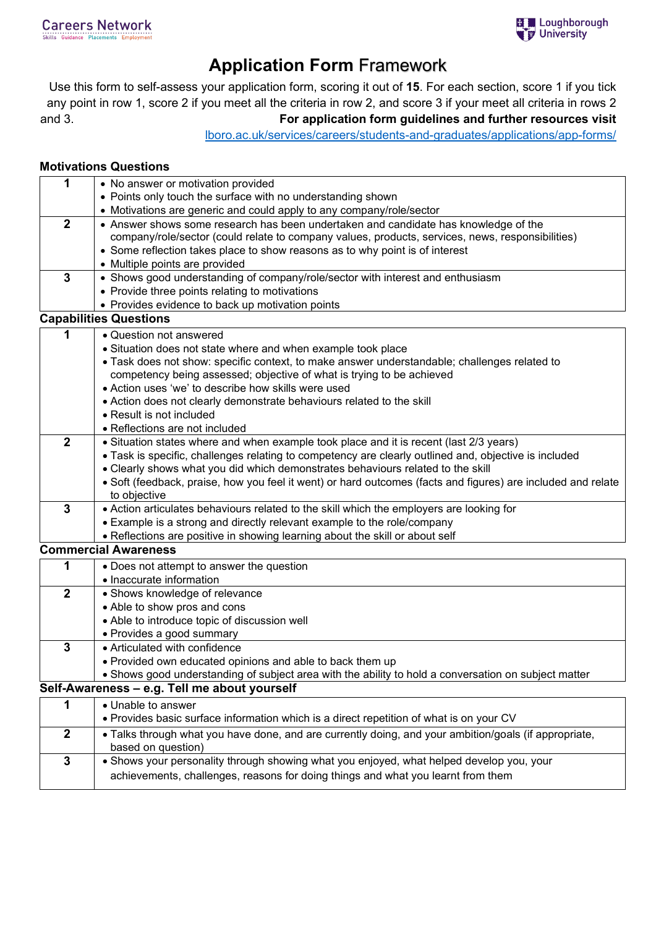## **Application Form** Framework

Use this form to self-assess your application form, scoring it out of **15**. For each section, score 1 if you tick any point in row 1, score 2 if you meet all the criteria in row 2, and score 3 if your meet all criteria in rows 2 and 3. **For application form guidelines and further resources visit**

[lboro.ac.uk/services/careers/students-and-graduates/applications/app-forms/](https://www.lboro.ac.uk/services/careers/students-and-graduates/applications/app-forms/)

## **Motivations Questions**

| 1              | • No answer or motivation provided                                                                           |  |  |  |  |
|----------------|--------------------------------------------------------------------------------------------------------------|--|--|--|--|
|                | • Points only touch the surface with no understanding shown                                                  |  |  |  |  |
|                | • Motivations are generic and could apply to any company/role/sector                                         |  |  |  |  |
| $\overline{2}$ | • Answer shows some research has been undertaken and candidate has knowledge of the                          |  |  |  |  |
|                | company/role/sector (could relate to company values, products, services, news, responsibilities)             |  |  |  |  |
|                | • Some reflection takes place to show reasons as to why point is of interest                                 |  |  |  |  |
|                | • Multiple points are provided                                                                               |  |  |  |  |
| $\mathbf{3}$   | • Shows good understanding of company/role/sector with interest and enthusiasm                               |  |  |  |  |
|                | • Provide three points relating to motivations                                                               |  |  |  |  |
|                | • Provides evidence to back up motivation points                                                             |  |  |  |  |
|                | <b>Capabilities Questions</b>                                                                                |  |  |  |  |
| 1              | • Question not answered                                                                                      |  |  |  |  |
|                | • Situation does not state where and when example took place                                                 |  |  |  |  |
|                | • Task does not show: specific context, to make answer understandable; challenges related to                 |  |  |  |  |
|                | competency being assessed; objective of what is trying to be achieved                                        |  |  |  |  |
|                | • Action uses 'we' to describe how skills were used                                                          |  |  |  |  |
|                | • Action does not clearly demonstrate behaviours related to the skill                                        |  |  |  |  |
|                | • Result is not included                                                                                     |  |  |  |  |
|                | • Reflections are not included                                                                               |  |  |  |  |
| $\overline{2}$ | • Situation states where and when example took place and it is recent (last 2/3 years)                       |  |  |  |  |
|                | • Task is specific, challenges relating to competency are clearly outlined and, objective is included        |  |  |  |  |
|                | • Clearly shows what you did which demonstrates behaviours related to the skill                              |  |  |  |  |
|                | • Soft (feedback, praise, how you feel it went) or hard outcomes (facts and figures) are included and relate |  |  |  |  |
|                | to objective                                                                                                 |  |  |  |  |
| $\mathbf{3}$   | • Action articulates behaviours related to the skill which the employers are looking for                     |  |  |  |  |
|                | • Example is a strong and directly relevant example to the role/company                                      |  |  |  |  |
|                | . Reflections are positive in showing learning about the skill or about self                                 |  |  |  |  |
|                | <b>Commercial Awareness</b>                                                                                  |  |  |  |  |
| 1              | • Does not attempt to answer the question                                                                    |  |  |  |  |
|                | • Inaccurate information                                                                                     |  |  |  |  |
| $\overline{2}$ | • Shows knowledge of relevance                                                                               |  |  |  |  |
|                | • Able to show pros and cons                                                                                 |  |  |  |  |
|                | • Able to introduce topic of discussion well                                                                 |  |  |  |  |
|                | • Provides a good summary                                                                                    |  |  |  |  |
| $\mathbf 3$    | • Articulated with confidence                                                                                |  |  |  |  |
|                | • Provided own educated opinions and able to back them up                                                    |  |  |  |  |
|                | • Shows good understanding of subject area with the ability to hold a conversation on subject matter         |  |  |  |  |
|                | Self-Awareness - e.g. Tell me about yourself                                                                 |  |  |  |  |
| 1              | • Unable to answer                                                                                           |  |  |  |  |
|                | • Provides basic surface information which is a direct repetition of what is on your CV                      |  |  |  |  |
| $\mathbf 2$    | . Talks through what you have done, and are currently doing, and your ambition/goals (if appropriate,        |  |  |  |  |
|                | based on question)                                                                                           |  |  |  |  |
| $\mathbf 3$    | . Shows your personality through showing what you enjoyed, what helped develop you, your                     |  |  |  |  |
|                | achievements, challenges, reasons for doing things and what you learnt from them                             |  |  |  |  |
|                |                                                                                                              |  |  |  |  |